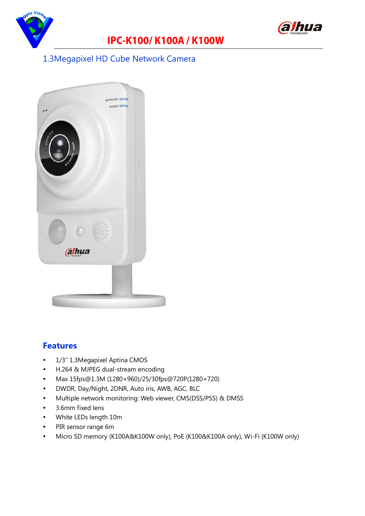

## **IPC-K100/ K100A / K100W**



#### 1.3Megapixel HD Cube Network Camera



#### **Features**

- 1/3" 1.3Megapixel Aptina CMOS
- H.264 & MJPEG dual-stream encoding
- Max 15fps@1.3M (1280×960)/25/30fps@720P(1280×720)
- DWDR, Day/Night, 2DNR, Auto iris, AWB, AGC, BLC
- Multiple network monitoring: Web viewer, CMS(DSS/PSS) & DMSS
- 3.6mm fixed lens
- White LEDs length 10m
- PIR sensor range 6m
- Micro SD memory (K100A&K100W only), PoE (K100&K100A only), Wi-Fi (K100W only)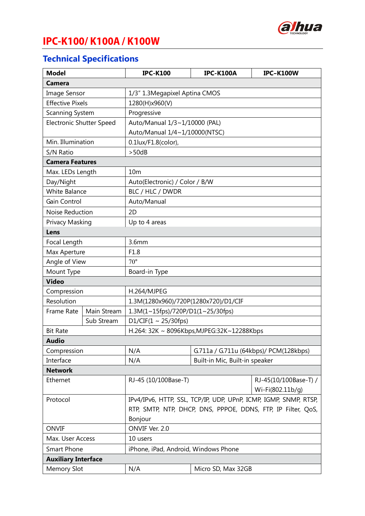

## **IPC-K100/ K100A / K100W**

### **Technical Specifications**

| <b>Model</b>                    |             | <b>IPC-K100</b>                                                  | <b>IPC-K100A</b>               | <b>IPC-K100W</b>                          |  |  |
|---------------------------------|-------------|------------------------------------------------------------------|--------------------------------|-------------------------------------------|--|--|
| <b>Camera</b>                   |             |                                                                  |                                |                                           |  |  |
| Image Sensor                    |             | 1/3" 1.3Megapixel Aptina CMOS                                    |                                |                                           |  |  |
| <b>Effective Pixels</b>         |             | 1280(H)x960(V)                                                   |                                |                                           |  |  |
| Scanning System                 |             | Progressive                                                      |                                |                                           |  |  |
| <b>Electronic Shutter Speed</b> |             | Auto/Manual 1/3~1/10000 (PAL)                                    |                                |                                           |  |  |
|                                 |             | Auto/Manual 1/4~1/10000(NTSC)                                    |                                |                                           |  |  |
| Min. Illumination               |             | 0.1lux/F1.8(color),                                              |                                |                                           |  |  |
| S/N Ratio                       |             | > 50dB                                                           |                                |                                           |  |  |
| <b>Camera Features</b>          |             |                                                                  |                                |                                           |  |  |
| Max. LEDs Length                |             | 10 <sub>m</sub>                                                  |                                |                                           |  |  |
| Day/Night                       |             | Auto(Electronic) / Color / B/W                                   |                                |                                           |  |  |
| <b>White Balance</b>            |             | BLC / HLC / DWDR                                                 |                                |                                           |  |  |
| Gain Control                    |             | Auto/Manual                                                      |                                |                                           |  |  |
| Noise Reduction                 |             | 2D                                                               |                                |                                           |  |  |
| Privacy Masking                 |             | Up to 4 areas                                                    |                                |                                           |  |  |
| Lens                            |             |                                                                  |                                |                                           |  |  |
| Focal Length                    |             | 3.6mm                                                            |                                |                                           |  |  |
| Max Aperture                    |             | F1.8                                                             |                                |                                           |  |  |
| Angle of View                   |             | $70^{\circ}$                                                     |                                |                                           |  |  |
| Mount Type                      |             | Board-in Type                                                    |                                |                                           |  |  |
| <b>Video</b>                    |             |                                                                  |                                |                                           |  |  |
| Compression                     |             | H.264/MJPEG                                                      |                                |                                           |  |  |
| Resolution                      |             | 1.3M(1280x960)/720P(1280x720)/D1/CIF                             |                                |                                           |  |  |
| Frame Rate                      | Main Stream | 1.3M(1~15fps)/720P/D1(1~25/30fps)                                |                                |                                           |  |  |
|                                 | Sub Stream  | D1/CIF(1 ~ 25/30fps)                                             |                                |                                           |  |  |
| <b>Bit Rate</b>                 |             | H.264: 32K ~ 8096Kbps, MJPEG: 32K~12288Kbps                      |                                |                                           |  |  |
| <b>Audio</b>                    |             |                                                                  |                                |                                           |  |  |
| Compression                     |             | N/A                                                              |                                | G.711a / G.711u (64kbps)/ PCM(128kbps)    |  |  |
| Interface                       |             | N/A                                                              | Built-in Mic, Built-in speaker |                                           |  |  |
| <b>Network</b>                  |             |                                                                  |                                |                                           |  |  |
| Ethernet                        |             | RJ-45 (10/100Base-T)                                             |                                | RJ-45(10/100Base-T) /<br>Wi-Fi(802.11b/g) |  |  |
| Protocol                        |             | IPv4/IPv6, HTTP, SSL, TCP/IP, UDP, UPnP, ICMP, IGMP, SNMP, RTSP, |                                |                                           |  |  |
|                                 |             | RTP, SMTP, NTP, DHCP, DNS, PPPOE, DDNS, FTP, IP Filter, QoS,     |                                |                                           |  |  |
|                                 |             | Bonjour                                                          |                                |                                           |  |  |
| <b>ONVIF</b>                    |             | ONVIF Ver. 2.0                                                   |                                |                                           |  |  |
| Max. User Access                |             | 10 users                                                         |                                |                                           |  |  |
| <b>Smart Phone</b>              |             | iPhone, iPad, Android, Windows Phone                             |                                |                                           |  |  |
| <b>Auxiliary Interface</b>      |             |                                                                  |                                |                                           |  |  |
| <b>Memory Slot</b>              |             | N/A                                                              | Micro SD, Max 32GB             |                                           |  |  |